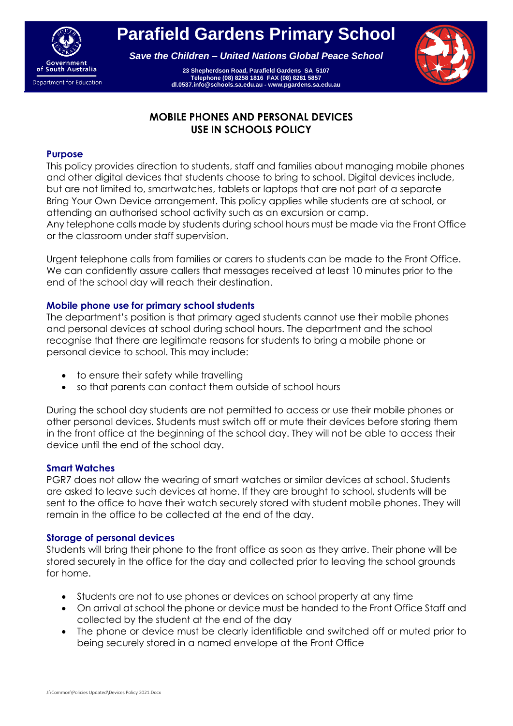

**Parafield Gardens Primary School**

*Save the Children – United Nations Global Peace School*

**23 Shepherdson Road, Parafield Gardens SA 5107 Telephone (08) 8258 1816 FAX (08) 8281 5857 dl.0537.info@schools.sa.edu.au - www.pgardens.sa.edu.au**



# **MOBILE PHONES AND PERSONAL DEVICES USE IN SCHOOLS POLICY**

#### **Purpose**

This policy provides direction to students, staff and families about managing mobile phones and other digital devices that students choose to bring to school. Digital devices include, but are not limited to, smartwatches, tablets or laptops that are not part of a separate Bring Your Own Device arrangement. This policy applies while students are at school, or attending an authorised school activity such as an excursion or camp.

Any telephone calls made by students during school hours must be made via the Front Office or the classroom under staff supervision.

Urgent telephone calls from families or carers to students can be made to the Front Office. We can confidently assure callers that messages received at least 10 minutes prior to the end of the school day will reach their destination.

#### **Mobile phone use for primary school students**

The department's position is that primary aged students cannot use their mobile phones and personal devices at school during school hours. The department and the school recognise that there are legitimate reasons for students to bring a mobile phone or personal device to school. This may include:

- to ensure their safety while travelling
- so that parents can contact them outside of school hours

During the school day students are not permitted to access or use their mobile phones or other personal devices. Students must switch off or mute their devices before storing them in the front office at the beginning of the school day. They will not be able to access their device until the end of the school day.

#### **Smart Watches**

PGR7 does not allow the wearing of smart watches or similar devices at school. Students are asked to leave such devices at home. If they are brought to school, students will be sent to the office to have their watch securely stored with student mobile phones. They will remain in the office to be collected at the end of the day.

#### **Storage of personal devices**

Students will bring their phone to the front office as soon as they arrive. Their phone will be stored securely in the office for the day and collected prior to leaving the school grounds for home.

- Students are not to use phones or devices on school property at any time
- On arrival at school the phone or device must be handed to the Front Office Staff and collected by the student at the end of the day
- The phone or device must be clearly identifiable and switched off or muted prior to being securely stored in a named envelope at the Front Office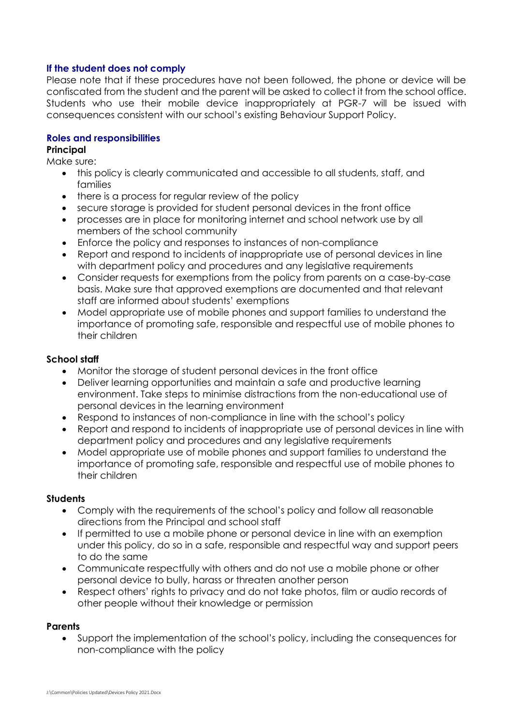### **If the student does not comply**

Please note that if these procedures have not been followed, the phone or device will be confiscated from the student and the parent will be asked to collect it from the school office. Students who use their mobile device inappropriately at PGR-7 will be issued with consequences consistent with our school's existing Behaviour Support Policy.

### **Roles and responsibilities**

## **Principal**

Make sure:

- this policy is clearly communicated and accessible to all students, staff, and families
- there is a process for regular review of the policy
- secure storage is provided for student personal devices in the front office
- processes are in place for monitoring internet and school network use by all members of the school community
- Enforce the policy and responses to instances of non-compliance
- Report and respond to incidents of inappropriate use of personal devices in line with department policy and procedures and any legislative requirements
- Consider requests for exemptions from the policy from parents on a case-by-case basis. Make sure that approved exemptions are documented and that relevant staff are informed about students' exemptions
- Model appropriate use of mobile phones and support families to understand the importance of promoting safe, responsible and respectful use of mobile phones to their children

## **School staff**

- Monitor the storage of student personal devices in the front office
- Deliver learning opportunities and maintain a safe and productive learning environment. Take steps to minimise distractions from the non-educational use of personal devices in the learning environment
- Respond to instances of non-compliance in line with the school's policy
- Report and respond to incidents of inappropriate use of personal devices in line with department policy and procedures and any legislative requirements
- Model appropriate use of mobile phones and support families to understand the importance of promoting safe, responsible and respectful use of mobile phones to their children

### **Students**

- Comply with the requirements of the school's policy and follow all reasonable directions from the Principal and school staff
- If permitted to use a mobile phone or personal device in line with an exemption under this policy, do so in a safe, responsible and respectful way and support peers to do the same
- Communicate respectfully with others and do not use a mobile phone or other personal device to bully, harass or threaten another person
- Respect others' rights to privacy and do not take photos, film or audio records of other people without their knowledge or permission

### **Parents**

 Support the implementation of the school's policy, including the consequences for non-compliance with the policy